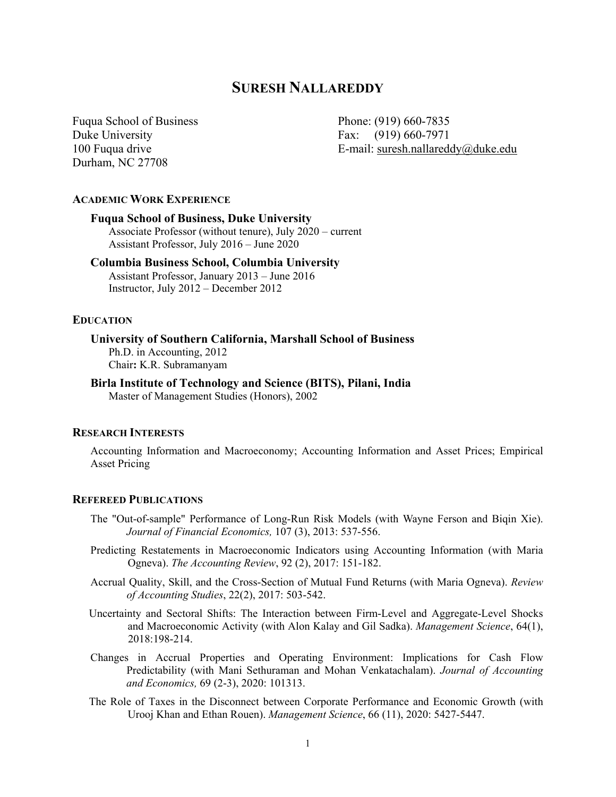# **SURESH NALLAREDDY**

Fuqua School of Business Phone: (919) 660-7835 Duke University Fax: (919) 660-7971 Durham, NC 27708

100 Fuqua drive E-mail: suresh.nallareddy@duke.edu

# **ACADEMIC WORK EXPERIENCE**

# **Fuqua School of Business, Duke University**

Associate Professor (without tenure), July 2020 – current Assistant Professor, July 2016 – June 2020

# **Columbia Business School, Columbia University**

Assistant Professor, January 2013 – June 2016 Instructor, July 2012 – December 2012

#### **EDUCATION**

### **University of Southern California, Marshall School of Business**

Ph.D. in Accounting, 2012 Chair**:** K.R. Subramanyam

# **Birla Institute of Technology and Science (BITS), Pilani, India**

Master of Management Studies (Honors), 2002

### **RESEARCH INTERESTS**

Accounting Information and Macroeconomy; Accounting Information and Asset Prices; Empirical Asset Pricing

#### **REFEREED PUBLICATIONS**

- The "Out-of-sample" Performance of Long-Run Risk Models (with Wayne Ferson and Biqin Xie). *Journal of Financial Economics,* 107 (3), 2013: 537-556.
- Predicting Restatements in Macroeconomic Indicators using Accounting Information (with Maria Ogneva). *The Accounting Review*, 92 (2), 2017: 151-182.
- Accrual Quality, Skill, and the Cross-Section of Mutual Fund Returns (with Maria Ogneva). *Review of Accounting Studies*, 22(2), 2017: 503-542.
- Uncertainty and Sectoral Shifts: The Interaction between Firm-Level and Aggregate-Level Shocks and Macroeconomic Activity (with Alon Kalay and Gil Sadka). *Management Science*, 64(1), 2018:198-214.
- Changes in Accrual Properties and Operating Environment: Implications for Cash Flow Predictability (with Mani Sethuraman and Mohan Venkatachalam). *Journal of Accounting and Economics,* 69 (2-3), 2020: 101313.
- The Role of Taxes in the Disconnect between Corporate Performance and Economic Growth (with Urooj Khan and Ethan Rouen). *Management Science*, 66 (11), 2020: 5427-5447.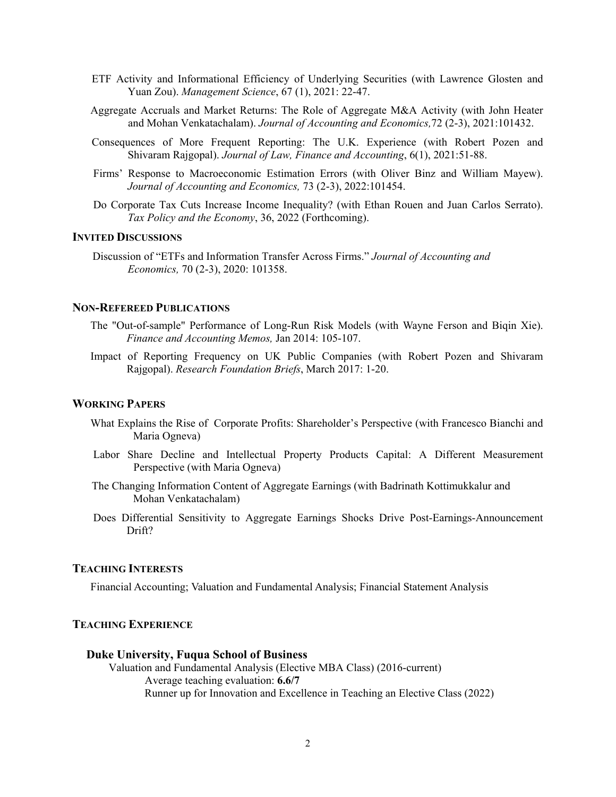- ETF Activity and Informational Efficiency of Underlying Securities (with Lawrence Glosten and Yuan Zou). *Management Science*, 67 (1), 2021: 22-47.
- Aggregate Accruals and Market Returns: The Role of Aggregate M&A Activity (with John Heater and Mohan Venkatachalam). *Journal of Accounting and Economics,*72 (2-3), 2021:101432.
- Consequences of More Frequent Reporting: The U.K. Experience (with Robert Pozen and Shivaram Rajgopal). *Journal of Law, Finance and Accounting*, 6(1), 2021:51-88.
- Firms' Response to Macroeconomic Estimation Errors (with Oliver Binz and William Mayew). *Journal of Accounting and Economics,* 73 (2-3), 2022:101454.
- Do Corporate Tax Cuts Increase Income Inequality? (with Ethan Rouen and Juan Carlos Serrato). *Tax Policy and the Economy*, 36, 2022 (Forthcoming).

# **INVITED DISCUSSIONS**

Discussion of "ETFs and Information Transfer Across Firms." *Journal of Accounting and Economics,* 70 (2-3), 2020: 101358.

#### **NON-REFEREED PUBLICATIONS**

- The "Out-of-sample" Performance of Long-Run Risk Models (with Wayne Ferson and Biqin Xie). *Finance and Accounting Memos,* Jan 2014: 105-107.
- Impact of Reporting Frequency on UK Public Companies (with Robert Pozen and Shivaram Rajgopal). *Research Foundation Briefs*, March 2017: 1-20.

#### **WORKING PAPERS**

- What Explains the Rise of Corporate Profits: Shareholder's Perspective (with Francesco Bianchi and Maria Ogneva)
- Labor Share Decline and Intellectual Property Products Capital: A Different Measurement Perspective (with Maria Ogneva)
- The Changing Information Content of Aggregate Earnings (with Badrinath Kottimukkalur and Mohan Venkatachalam)
- Does Differential Sensitivity to Aggregate Earnings Shocks Drive Post-Earnings-Announcement Drift?

#### **TEACHING INTERESTS**

Financial Accounting; Valuation and Fundamental Analysis; Financial Statement Analysis

#### **TEACHING EXPERIENCE**

#### **Duke University, Fuqua School of Business**

Valuation and Fundamental Analysis (Elective MBA Class) (2016-current) Average teaching evaluation: **6.6/7** Runner up for Innovation and Excellence in Teaching an Elective Class (2022)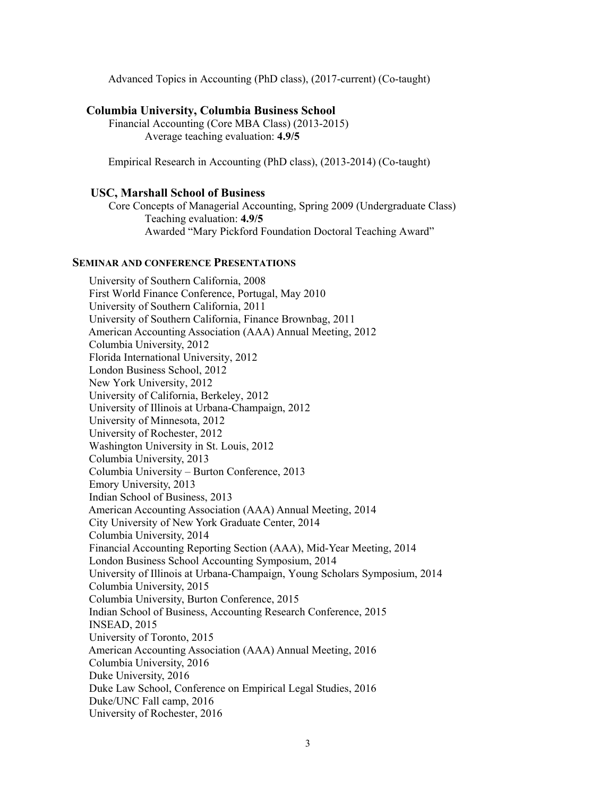Advanced Topics in Accounting (PhD class), (2017-current) (Co-taught)

# **Columbia University, Columbia Business School**

Financial Accounting (Core MBA Class) (2013-2015) Average teaching evaluation: **4.9/5** 

Empirical Research in Accounting (PhD class), (2013-2014) (Co-taught)

### **USC, Marshall School of Business**

Core Concepts of Managerial Accounting, Spring 2009 (Undergraduate Class) Teaching evaluation: **4.9/5**  Awarded "Mary Pickford Foundation Doctoral Teaching Award"

#### **SEMINAR AND CONFERENCE PRESENTATIONS**

 University of Southern California, 2008 First World Finance Conference, Portugal, May 2010 University of Southern California, 2011 University of Southern California, Finance Brownbag, 2011 American Accounting Association (AAA) Annual Meeting, 2012 Columbia University, 2012 Florida International University, 2012 London Business School, 2012 New York University, 2012 University of California, Berkeley, 2012 University of Illinois at Urbana-Champaign, 2012 University of Minnesota, 2012 University of Rochester, 2012 Washington University in St. Louis, 2012 Columbia University, 2013 Columbia University – Burton Conference, 2013 Emory University, 2013 Indian School of Business, 2013 American Accounting Association (AAA) Annual Meeting, 2014 City University of New York Graduate Center, 2014 Columbia University, 2014 Financial Accounting Reporting Section (AAA), Mid-Year Meeting, 2014 London Business School Accounting Symposium, 2014 University of Illinois at Urbana-Champaign, Young Scholars Symposium, 2014 Columbia University, 2015 Columbia University, Burton Conference, 2015 Indian School of Business, Accounting Research Conference, 2015 INSEAD, 2015 University of Toronto, 2015 American Accounting Association (AAA) Annual Meeting, 2016 Columbia University, 2016 Duke University, 2016 Duke Law School, Conference on Empirical Legal Studies, 2016 Duke/UNC Fall camp, 2016 University of Rochester, 2016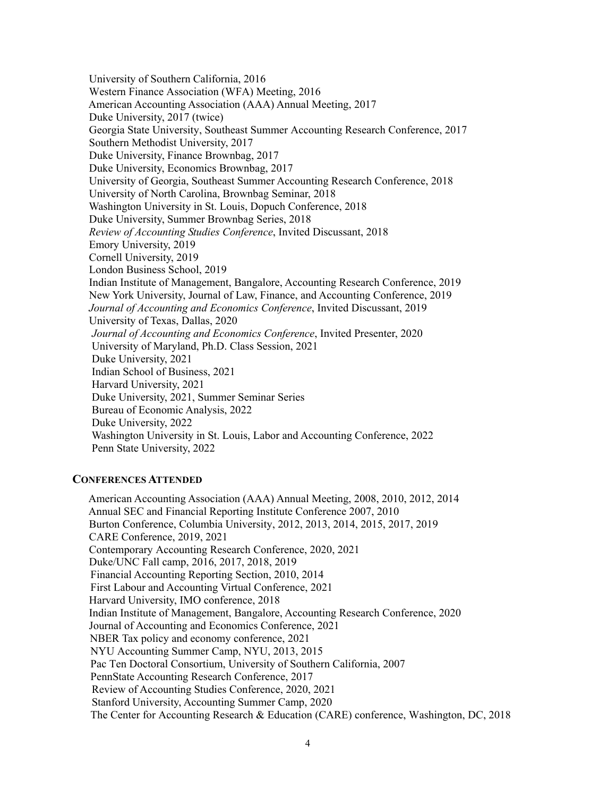University of Southern California, 2016 Western Finance Association (WFA) Meeting, 2016 American Accounting Association (AAA) Annual Meeting, 2017 Duke University, 2017 (twice) Georgia State University, Southeast Summer Accounting Research Conference, 2017 Southern Methodist University, 2017 Duke University, Finance Brownbag, 2017 Duke University, Economics Brownbag, 2017 University of Georgia, Southeast Summer Accounting Research Conference, 2018 University of North Carolina, Brownbag Seminar, 2018 Washington University in St. Louis, Dopuch Conference, 2018 Duke University, Summer Brownbag Series, 2018 *Review of Accounting Studies Conference*, Invited Discussant, 2018 Emory University, 2019 Cornell University, 2019 London Business School, 2019 Indian Institute of Management, Bangalore, Accounting Research Conference, 2019 New York University, Journal of Law, Finance, and Accounting Conference, 2019 *Journal of Accounting and Economics Conference*, Invited Discussant, 2019 University of Texas, Dallas, 2020 *Journal of Accounting and Economics Conference*, Invited Presenter, 2020 University of Maryland, Ph.D. Class Session, 2021 Duke University, 2021 Indian School of Business, 2021 Harvard University, 2021 Duke University, 2021, Summer Seminar Series Bureau of Economic Analysis, 2022 Duke University, 2022 Washington University in St. Louis, Labor and Accounting Conference, 2022 Penn State University, 2022

# **CONFERENCES ATTENDED**

 American Accounting Association (AAA) Annual Meeting, 2008, 2010, 2012, 2014 Annual SEC and Financial Reporting Institute Conference 2007, 2010 Burton Conference, Columbia University, 2012, 2013, 2014, 2015, 2017, 2019 CARE Conference, 2019, 2021 Contemporary Accounting Research Conference, 2020, 2021 Duke/UNC Fall camp, 2016, 2017, 2018, 2019 Financial Accounting Reporting Section, 2010, 2014 First Labour and Accounting Virtual Conference, 2021 Harvard University, IMO conference, 2018 Indian Institute of Management, Bangalore, Accounting Research Conference, 2020 Journal of Accounting and Economics Conference, 2021 NBER Tax policy and economy conference, 2021 NYU Accounting Summer Camp, NYU, 2013, 2015 Pac Ten Doctoral Consortium, University of Southern California, 2007 PennState Accounting Research Conference, 2017 Review of Accounting Studies Conference, 2020, 2021 Stanford University, Accounting Summer Camp, 2020 The Center for Accounting Research & Education (CARE) conference, Washington, DC, 2018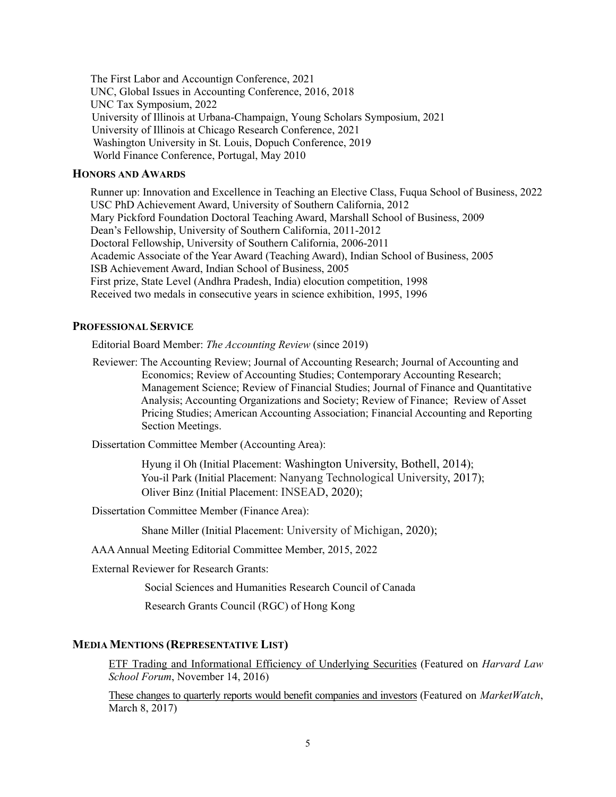The First Labor and Accountign Conference, 2021 UNC, Global Issues in Accounting Conference, 2016, 2018 UNC Tax Symposium, 2022 University of Illinois at Urbana-Champaign, Young Scholars Symposium, 2021 University of Illinois at Chicago Research Conference, 2021 Washington University in St. Louis, Dopuch Conference, 2019 World Finance Conference, Portugal, May 2010

### **HONORS AND AWARDS**

Runner up: Innovation and Excellence in Teaching an Elective Class, Fuqua School of Business, 2022 USC PhD Achievement Award, University of Southern California, 2012 Mary Pickford Foundation Doctoral Teaching Award, Marshall School of Business, 2009 Dean's Fellowship, University of Southern California, 2011-2012 Doctoral Fellowship, University of Southern California, 2006-2011 Academic Associate of the Year Award (Teaching Award), Indian School of Business, 2005 ISB Achievement Award, Indian School of Business, 2005 First prize, State Level (Andhra Pradesh, India) elocution competition, 1998 Received two medals in consecutive years in science exhibition, 1995, 1996

# **PROFESSIONAL SERVICE**

Editorial Board Member: *The Accounting Review* (since 2019)

 Reviewer: The Accounting Review; Journal of Accounting Research; Journal of Accounting and Economics; Review of Accounting Studies; Contemporary Accounting Research; Management Science; Review of Financial Studies; Journal of Finance and Quantitative Analysis; Accounting Organizations and Society; Review of Finance; Review of Asset Pricing Studies; American Accounting Association; Financial Accounting and Reporting Section Meetings.

Dissertation Committee Member (Accounting Area):

 Hyung il Oh (Initial Placement: Washington University, Bothell, 2014); You-il Park (Initial Placement: Nanyang Technological University, 2017); Oliver Binz (Initial Placement: INSEAD, 2020);

Dissertation Committee Member (Finance Area):

Shane Miller (Initial Placement: University of Michigan, 2020);

AAA Annual Meeting Editorial Committee Member, 2015, 2022

External Reviewer for Research Grants:

Social Sciences and Humanities Research Council of Canada

Research Grants Council (RGC) of Hong Kong

# **MEDIA MENTIONS (REPRESENTATIVE LIST)**

ETF Trading and Informational Efficiency of Underlying Securities (Featured on *Harvard Law School Forum*, November 14, 2016)

These changes to quarterly reports would benefit companies and investors (Featured on *MarketWatch*, March 8, 2017)